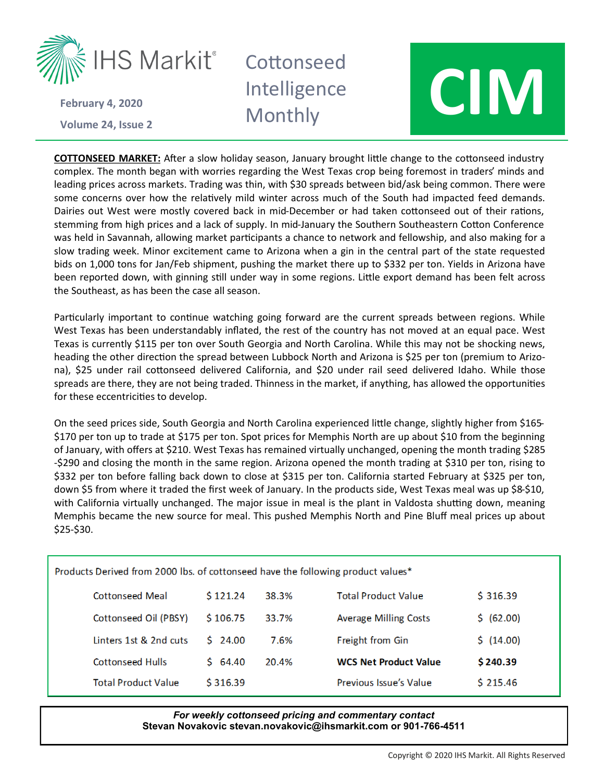

**Volume 24 February 4, 2020**

## **Cottonseed** Intelligence



**COTTONSEED MARKET:** After a slow holiday season, January brought little change to the cottonseed industry complex. The month began with worries regarding the West Texas crop being foremost in traders' minds and leading prices across markets. Trading was thin, with \$30 spreads between bid/ask being common. There were some concerns over how the relatively mild winter across much of the South had impacted feed demands. Dairies out West were mostly covered back in mid-December or had taken cottonseed out of their rations, stemming from high prices and a lack of supply. In mid-January the Southern Southeastern Cotton Conference was held in Savannah, allowing market participants a chance to network and fellowship, and also making for a slow trading week. Minor excitement came to Arizona when a gin in the central part of the state requested bids on 1,000 tons for Jan/Feb shipment, pushing the market there up to \$332 per ton. Yields in Arizona have been reported down, with ginning still under way in some regions. Little export demand has been felt across the Southeast, as has been the case all season.

Particularly important to continue watching going forward are the current spreads between regions. While West Texas has been understandably inflated, the rest of the country has not moved at an equal pace. West Texas is currently \$115 per ton over South Georgia and North Carolina. While this may not be shocking news, heading the other direction the spread between Lubbock North and Arizona is \$25 per ton (premium to Arizona), \$25 under rail cottonseed delivered California, and \$20 under rail seed delivered Idaho. While those spreads are there, they are not being traded. Thinness in the market, if anything, has allowed the opportunities for these eccentricities to develop.

On the seed prices side, South Georgia and North Carolina experienced little change, slightly higher from \$165- \$170 per ton up to trade at \$175 per ton. Spot prices for Memphis North are up about \$10 from the beginning of January, with offers at \$210. West Texas has remained virtually unchanged, opening the month trading \$285 -\$290 and closing the month in the same region. Arizona opened the month trading at \$310 per ton, rising to \$332 per ton before falling back down to close at \$315 per ton. California started February at \$325 per ton, down \$5 from where it traded the first week of January. In the products side, West Texas meal was up \$8-\$10, with California virtually unchanged. The major issue in meal is the plant in Valdosta shutting down, meaning Memphis became the new source for meal. This pushed Memphis North and Pine Bluff meal prices up about \$25-\$30.

| Products Derived from 2000 lbs. of cottonseed have the following product values* |            |       |                               |            |  |  |  |
|----------------------------------------------------------------------------------|------------|-------|-------------------------------|------------|--|--|--|
| <b>Cottonseed Meal</b>                                                           | \$121.24   | 38.3% | <b>Total Product Value</b>    | \$316.39   |  |  |  |
| Cottonseed Oil (PBSY)                                                            | \$106.75   | 33.7% | <b>Average Milling Costs</b>  | \$ (62.00) |  |  |  |
| linters 1st & 2nd cuts.                                                          | $5\,24.00$ | 7.6%  | Freight from Gin              | \$(14.00)  |  |  |  |
| <b>Cottonseed Hulls</b>                                                          | 5,64.40    | 20.4% | <b>WCS Net Product Value</b>  | \$240.39   |  |  |  |
| <b>Total Product Value</b>                                                       | \$316.39   |       | <b>Previous Issue's Value</b> | \$215.46   |  |  |  |

## *For weekly cottonseed pricing and commentary contact* **Stevan Novakovic stevan.novakovic@ihsmarkit.com or 901-766-4511**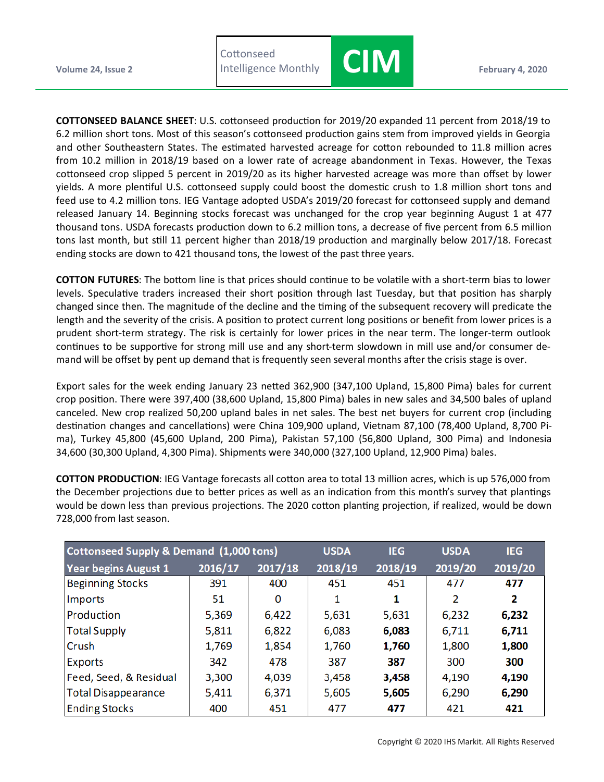



**COTTONSEED BALANCE SHEET**: U.S. cottonseed production for 2019/20 expanded 11 percent from 2018/19 to 6.2 million short tons. Most of this season's cottonseed production gains stem from improved yields in Georgia and other Southeastern States. The estimated harvested acreage for cotton rebounded to 11.8 million acres from 10.2 million in 2018/19 based on a lower rate of acreage abandonment in Texas. However, the Texas cottonseed crop slipped 5 percent in 2019/20 as its higher harvested acreage was more than offset by lower yields. A more plentiful U.S. cottonseed supply could boost the domestic crush to 1.8 million short tons and feed use to 4.2 million tons. IEG Vantage adopted USDA's 2019/20 forecast for cottonseed supply and demand released January 14. Beginning stocks forecast was unchanged for the crop year beginning August 1 at 477 thousand tons. USDA forecasts production down to 6.2 million tons, a decrease of five percent from 6.5 million tons last month, but still 11 percent higher than 2018/19 production and marginally below 2017/18. Forecast ending stocks are down to 421 thousand tons, the lowest of the past three years.

**COTTON FUTURES**: The bottom line is that prices should continue to be volatile with a short-term bias to lower levels. Speculative traders increased their short position through last Tuesday, but that position has sharply changed since then. The magnitude of the decline and the timing of the subsequent recovery will predicate the length and the severity of the crisis. A position to protect current long positions or benefit from lower prices is a prudent short-term strategy. The risk is certainly for lower prices in the near term. The longer-term outlook continues to be supportive for strong mill use and any short-term slowdown in mill use and/or consumer demand will be offset by pent up demand that is frequently seen several months after the crisis stage is over.

Export sales for the week ending January 23 netted 362,900 (347,100 Upland, 15,800 Pima) bales for current crop position. There were 397,400 (38,600 Upland, 15,800 Pima) bales in new sales and 34,500 bales of upland canceled. New crop realized 50,200 upland bales in net sales. The best net buyers for current crop (including destination changes and cancellations) were China 109,900 upland, Vietnam 87,100 (78,400 Upland, 8,700 Pima), Turkey 45,800 (45,600 Upland, 200 Pima), Pakistan 57,100 (56,800 Upland, 300 Pima) and Indonesia 34,600 (30,300 Upland, 4,300 Pima). Shipments were 340,000 (327,100 Upland, 12,900 Pima) bales.

**COTTON PRODUCTION**: IEG Vantage forecasts all cotton area to total 13 million acres, which is up 576,000 from the December projections due to better prices as well as an indication from this month's survey that plantings would be down less than previous projections. The 2020 cotton planting projection, if realized, would be down 728,000 from last season.

| Cottonseed Supply & Demand (1,000 tons) |         |         | <b>USDA</b> | <b>IEG</b> | <b>USDA</b> | <b>IEG</b> |
|-----------------------------------------|---------|---------|-------------|------------|-------------|------------|
| <b>Year begins August 1</b>             | 2016/17 | 2017/18 | 2018/19     | 2018/19    | 2019/20     | 2019/20    |
| <b>Beginning Stocks</b>                 | 391     | 400     | 451         | 451        | 477         | 477        |
| <b>Imports</b>                          | 51      | 0       | 1           | 1          | 2           | 2          |
| Production                              | 5,369   | 6,422   | 5,631       | 5,631      | 6,232       | 6,232      |
| <b>Total Supply</b>                     | 5,811   | 6,822   | 6,083       | 6,083      | 6,711       | 6,711      |
| Crush                                   | 1,769   | 1,854   | 1,760       | 1,760      | 1,800       | 1,800      |
| Exports                                 | 342     | 478     | 387         | 387        | 300         | 300        |
| Feed, Seed, & Residual                  | 3,300   | 4,039   | 3,458       | 3,458      | 4,190       | 4,190      |
| <b>Total Disappearance</b>              | 5,411   | 6,371   | 5,605       | 5,605      | 6,290       | 6,290      |
| <b>Ending Stocks</b>                    | 400     | 451     | 477         | 477        | 421         | 421        |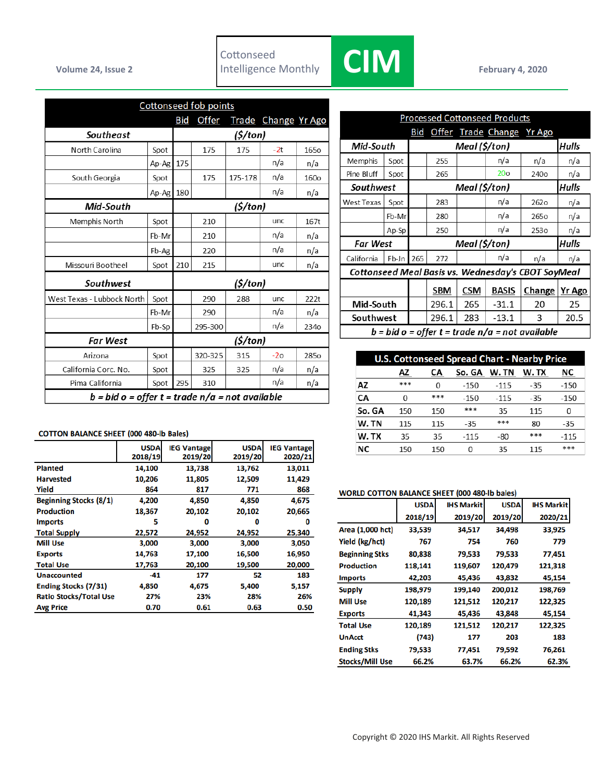

|                                                 |       | <b>Cottonseed fob points</b> |              |          |                     |                  |  |
|-------------------------------------------------|-------|------------------------------|--------------|----------|---------------------|------------------|--|
|                                                 |       | <b>Bid</b>                   | <u>Offer</u> |          | Trade Change Yr Ago |                  |  |
| Southeast                                       |       |                              | (\$/ton)     |          |                     |                  |  |
| North Carolina                                  | Spot  |                              | 175          | 175      | $-2t$               | <b>1650</b>      |  |
|                                                 | Ap-Ag | 175                          |              |          | n/a                 | n/a              |  |
| South Georgia                                   | Spot  |                              | 175          | 175-178  | n/a                 | <b>160o</b>      |  |
|                                                 | Ap-Ag | 180                          |              |          | n/a                 | n/a              |  |
| Mid-South                                       |       |                              |              | (\$/ton) |                     |                  |  |
| Memphis North                                   | Spot  |                              | 210          |          | unc                 | 167t             |  |
|                                                 | Fb-Mr |                              | 210          |          | n/a                 | n/a              |  |
|                                                 | Fb-Ag |                              | 220          |          | n/a                 | n/a              |  |
| Missouri Bootheel                               | Spot  | 210                          | 215          |          | unc                 | n/a              |  |
| Southwest                                       |       |                              |              | (\$/ton) |                     |                  |  |
| West Texas - Lubbock North                      | Spot  |                              | 290          | 288      | unc                 | 222t             |  |
|                                                 | Fb-Mr |                              | 290          |          | n/a                 | n/a              |  |
|                                                 | Fb-Sp |                              | 295-300      |          | n/a                 | 234 <sub>o</sub> |  |
| <b>Far West</b>                                 |       |                              |              | (5/ton)  |                     |                  |  |
| Arizo na                                        | Spot  |                              | 320-325      | 315      | $-20$               | 285o             |  |
| California Corc. No.                            | Spot  |                              | 325          | 325      | n/a                 | n/a              |  |
| Pima California                                 | Spot  | 295                          | 310          |          | n/a                 | n/a              |  |
| b = bid o = offer t = trade n/a = not available |       |                              |              |          |                     |                  |  |

| <b>Processed Cottonseed Products</b>            |           |     |                        |               |                           |                                                    |              |
|-------------------------------------------------|-----------|-----|------------------------|---------------|---------------------------|----------------------------------------------------|--------------|
|                                                 |           | Bid |                        |               | Offer Trade Change Yr Ago |                                                    |              |
| Meal (\$/ton)<br>Mid-South                      |           |     |                        |               | Hulls                     |                                                    |              |
| Memphis                                         | Spot      |     | 255                    |               | n/a                       | n/a                                                | n/a          |
| Pine Bluff                                      | Spot      |     | 265                    |               | 20 <sub>o</sub>           | 240 <sub>o</sub>                                   | n/a          |
| Southwest                                       |           |     |                        | Meal (\$/ton) |                           |                                                    | <b>Hulls</b> |
| <b>West Texas</b>                               | Spot      |     | 283                    |               | n/a                       | 262 <sub>o</sub>                                   | n/a          |
|                                                 | Fb-Mr     |     | 280                    |               | n/a                       | 265 <sub>o</sub>                                   | n/a          |
|                                                 | Ap-Sp     |     | 250                    |               | n/a                       | 253 <sub>o</sub>                                   | n/a          |
| Far West                                        |           |     | Meal (\$/ton)<br>Hulls |               |                           |                                                    |              |
| California                                      | Fb-Jn 265 |     | 272                    |               | n/a                       | n/a                                                | n/a          |
|                                                 |           |     |                        |               |                           | Cottonseed Meal Basis vs. Wednesday's CBOT SoyMeal |              |
|                                                 |           |     | SBM                    | <b>CSM</b>    | <b>BASIS</b>              | Change                                             | Yr Ago       |
| Mid-South                                       |           |     | 296.1                  | 265           | $-31.1$                   | 20                                                 | 25           |
| Southwest                                       |           |     | 296.1                  | 283           | $-13.1$                   | 3                                                  | 20.5         |
| b = bid o = offer t = trade n/a = not available |           |     |                        |               |                           |                                                    |              |

| <b>U.S. Cottonseed Spread Chart - Nearby Price</b> |     |     |        |        |       |        |  |
|----------------------------------------------------|-----|-----|--------|--------|-------|--------|--|
|                                                    | AΖ  | СA  | So. GA | W.TN   | W. TX | ΝC     |  |
| AZ                                                 | *** | 0   | $-150$ | $-115$ | $-35$ | $-150$ |  |
| CA                                                 | 0   | *** | $-150$ | $-115$ | $-35$ | $-150$ |  |
| So. GA                                             | 150 | 150 | ***    | 35     | 115   | 0      |  |
| W.TN                                               | 115 | 115 | $-35$  | ***    | 80    | $-35$  |  |
| W.TX                                               | 35  | 35  | $-115$ | -80    | ***   | $-115$ |  |
| <b>NC</b>                                          | 150 | 150 | 0      | 35     | 115   | ***    |  |

## **COTTON BALANCE SHEET (000 480-lb Bales)**

|                               | <b>USDA</b><br>2018/19 | <b>IEG Vantage</b><br>2019/20 | <b>USDA</b><br>2019/20 | <b>IEG Vantage</b><br>2020/21 |
|-------------------------------|------------------------|-------------------------------|------------------------|-------------------------------|
| <b>Planted</b>                | 14,100                 | 13,738                        | 13,762                 | 13,011                        |
| <b>Harvested</b>              | 10,206                 | 11,805                        | 12,509                 | 11,429                        |
| Yield                         | 864                    | 817                           | 771                    | 868                           |
| <b>Beginning Stocks (8/1)</b> | 4,200                  | 4,850                         | 4,850                  | 4,675                         |
| <b>Production</b>             | 18,367                 | 20,102                        | 20,102                 | 20,665                        |
| <b>Imports</b>                | 5                      | 0                             | Ω                      | o                             |
| <b>Total Supply</b>           | 22,572                 | 24,952                        | 24,952                 | 25,340                        |
| <b>Mill Use</b>               | 3,000                  | 3,000                         | 3,000                  | 3,050                         |
| <b>Exports</b>                | 14,763                 | 17,100                        | 16,500                 | 16,950                        |
| <b>Total Use</b>              | 17,763                 | 20,100                        | 19,500                 | 20,000                        |
| <b>Unaccounted</b>            | $-41$                  | 177                           | 52                     | 183                           |
| <b>Ending Stocks (7/31)</b>   | 4,850                  | 4,675                         | 5,400                  | 5,157                         |
| <b>Ratio Stocks/Total Use</b> | 27%                    | 23%                           | 28%                    | 26%                           |
| <b>Avg Price</b>              | 0.70                   | 0.61                          | 0.63                   | 0.50                          |

## **WORLD COTTON BALANCE SHEET (000 480-lb bales)**

|                        | <b>USDA</b> | <b>IHS Markit</b> | <b>USDA</b> | <b>IHS Markit</b> |
|------------------------|-------------|-------------------|-------------|-------------------|
|                        | 2018/19     | 2019/20           | 2019/20     | 2020/21           |
| Area (1,000 hct)       | 33,539      | 34,517            | 34,498      | 33,925            |
| Yield (kg/hct)         | 767         | 754               | 760         | 779               |
| <b>Beginning Stks</b>  | 80,838      | 79,533            | 79,533      | 77,451            |
| <b>Production</b>      | 118,141     | 119,607           | 120,479     | 121,318           |
| <b>Imports</b>         | 42,203      | 45,436            | 43,832      | 45,154            |
| <b>Supply</b>          | 198,979     | 199,140           | 200,012     | 198,769           |
| <b>Mill Use</b>        | 120,189     | 121,512           | 120,217     | 122,325           |
| <b>Exports</b>         | 41,343      | 45,436            | 43,848      | 45,154            |
| <b>Total Use</b>       | 120,189     | 121,512           | 120,217     | 122,325           |
| <b>UnAcct</b>          | (743)       | 177               | 203         | 183               |
| <b>Ending Stks</b>     | 79,533      | 77,451            | 79,592      | 76,261            |
| <b>Stocks/Mill Use</b> | 66.2%       | 63.7%             | 66.2%       | 62.3%             |